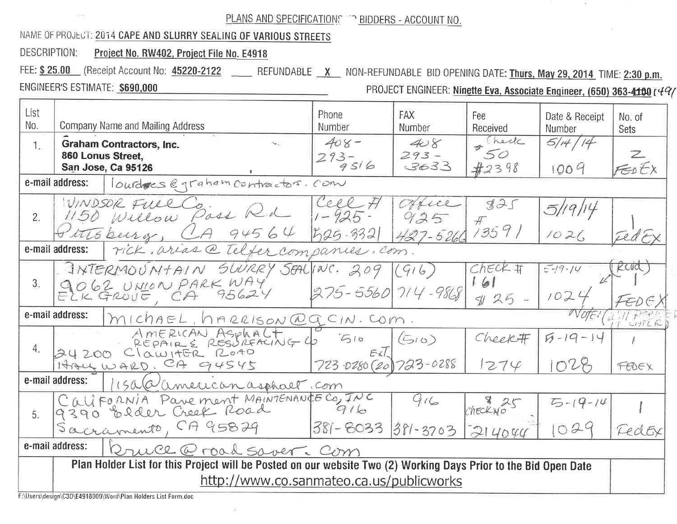## PLANS AND SPECIFICATIONS TO BIDDERS - ACCOUNT NO.

## NAME OF PROJECT: 2014 CAPE AND SLURRY SEALING OF VARIOUS STREETS

DESCRIPTION: Project No. RW402, Project File No. E4918

FEE: \$25.00 (Receipt Account No: 45220-2122 \_\_ REFUNDABLE X NON-REFUNDABLE BID OPENING DATE: Thurs, May 29, 2014 TIME: 2:30 p.m.

ENGINEER'S ESTIMATE: \$690,000

PROJECT ENGINEER: Ninette Eva, Associate Engineer, (650) 363-4100 r49/

| List<br>No.                                                                                                     | Company Name and Mailing Address                                           | Phone<br>Number              | <b>FAX</b><br>Number   | Fee<br>Received      | Date & Receipt<br>Number | No. of<br>Sets |  |  |  |  |
|-----------------------------------------------------------------------------------------------------------------|----------------------------------------------------------------------------|------------------------------|------------------------|----------------------|--------------------------|----------------|--|--|--|--|
| $\mathbf{1}$ .                                                                                                  | <b>Graham Contractors, Inc.</b><br>860 Lonus Street,<br>San Jose, Ca 95126 | $408 -$<br>$293 - 9516$      | 408<br>$293 -$<br>3633 | hell<br>50<br>#2398  | 5/14/14<br>1004          | Z<br>FEDEX     |  |  |  |  |
| lourdres @graham contractor. Com<br>e-mail address:                                                             |                                                                            |                              |                        |                      |                          |                |  |  |  |  |
| 2.                                                                                                              | WINDSOR FULL CO<br>1150 Willow Pass Rd                                     | Cell<br>$1 - 925 -$          |                        | 825<br>$\mathcal{H}$ | 191                      |                |  |  |  |  |
|                                                                                                                 | 94564<br>this burg, CA                                                     | $1525 - 3321$                | $427 - 5260$           | 13591                | 1021                     |                |  |  |  |  |
| e-mail address:<br>rick arias @ telfer companies. com.                                                          |                                                                            |                              |                        |                      |                          |                |  |  |  |  |
| 3.                                                                                                              | INTERMOUNTAIN SUURRY SEALINC. 209                                          |                              | (916)                  | $Check$ #            | $5 - 19 - 14$            |                |  |  |  |  |
|                                                                                                                 | 9062 UNION PARK WAY                                                        | $275 - 5560$ 714 - 9868      |                        | 161<br>$3125 -$      | 102                      |                |  |  |  |  |
| e-mail address:<br>$ M $ chaeL. NARRISON@QCIN. COM.                                                             |                                                                            |                              |                        |                      |                          |                |  |  |  |  |
| 4.                                                                                                              | AMERICAN ASPHALT 6 510<br>24200 ClawitER ROAD                              |                              | (510)                  | Cheek#               | $5 - 19 - 14$            |                |  |  |  |  |
|                                                                                                                 | HALL WARD, CA 94545                                                        | $723 -0280$ (20) $723 -0288$ |                        | 1274                 | 1028                     | FEDEX          |  |  |  |  |
| e-mail address:<br>15ala american asphaet.com                                                                   |                                                                            |                              |                        |                      |                          |                |  |  |  |  |
| 5 <sub>1</sub>                                                                                                  | California Parement MAINTENANCE CO, INC<br>9390 Older Creek Road           |                              | 916                    | checkw <sub>0</sub>  | $5 - 19 - 14$            |                |  |  |  |  |
|                                                                                                                 | Sacramento, CA 95829                                                       | 381-8033 381-3703            |                        | 214044               | 024                      | LeclEx         |  |  |  |  |
| e-mail address:<br>Rruce @ road saver. Com                                                                      |                                                                            |                              |                        |                      |                          |                |  |  |  |  |
| Plan Holder List for this Project will be Posted on our website Two (2) Working Days Prior to the Bid Open Date |                                                                            |                              |                        |                      |                          |                |  |  |  |  |
| http://www.co.sanmateo.ca.us/publicworks                                                                        |                                                                            |                              |                        |                      |                          |                |  |  |  |  |

F:\Users\design\C3D\E4918000\Word\Plan Holders List Form.doc